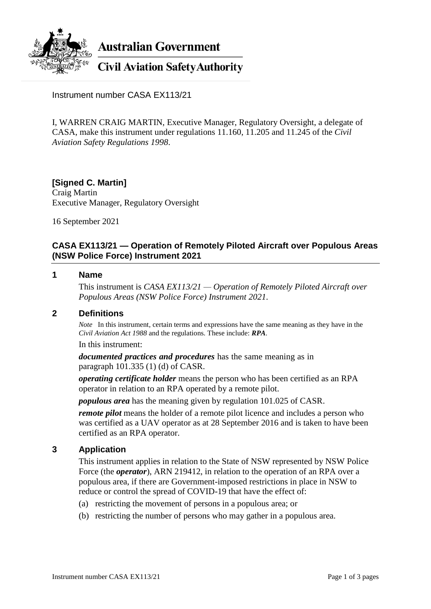

Instrument number CASA EX113/21

I, WARREN CRAIG MARTIN, Executive Manager, Regulatory Oversight, a delegate of CASA, make this instrument under regulations 11.160, 11.205 and 11.245 of the *Civil Aviation Safety Regulations 1998*.

**[Signed C. Martin]** Craig Martin Executive Manager, Regulatory Oversight

16 September 2021

# **CASA EX113/21 — Operation of Remotely Piloted Aircraft over Populous Areas (NSW Police Force) Instrument 2021**

### **1 Name**

This instrument is *CASA EX113/21 — Operation of Remotely Piloted Aircraft over Populous Areas (NSW Police Force) Instrument 2021*.

# **2 Definitions**

*Note* In this instrument, certain terms and expressions have the same meaning as they have in the *Civil Aviation Act 1988* and the regulations. These include: *RPA*.

In this instrument:

*documented practices and procedures* has the same meaning as in paragraph 101.335 (1) (d) of CASR.

*operating certificate holder* means the person who has been certified as an RPA operator in relation to an RPA operated by a remote pilot.

*populous area* has the meaning given by regulation 101.025 of CASR.

*remote pilot* means the holder of a remote pilot licence and includes a person who was certified as a UAV operator as at 28 September 2016 and is taken to have been certified as an RPA operator.

### **3 Application**

This instrument applies in relation to the State of NSW represented by NSW Police Force (the *operator*), ARN 219412, in relation to the operation of an RPA over a populous area, if there are Government-imposed restrictions in place in NSW to reduce or control the spread of COVID-19 that have the effect of:

- (a) restricting the movement of persons in a populous area; or
- (b) restricting the number of persons who may gather in a populous area.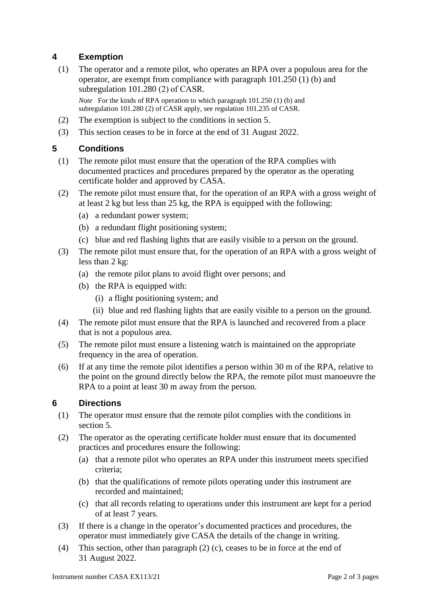# **4 Exemption**

(1) The operator and a remote pilot, who operates an RPA over a populous area for the operator, are exempt from compliance with paragraph 101.250 (1) (b) and subregulation 101.280 (2) of CASR.

*Note* For the kinds of RPA operation to which paragraph 101.250 (1) (b) and subregulation 101.280 (2) of CASR apply, see regulation 101.235 of CASR*.*

- (2) The exemption is subject to the conditions in section 5.
- (3) This section ceases to be in force at the end of 31 August 2022.

# **5 Conditions**

- (1) The remote pilot must ensure that the operation of the RPA complies with documented practices and procedures prepared by the operator as the operating certificate holder and approved by CASA.
- (2) The remote pilot must ensure that, for the operation of an RPA with a gross weight of at least 2 kg but less than 25 kg, the RPA is equipped with the following:
	- (a) a redundant power system;
	- (b) a redundant flight positioning system;
	- (c) blue and red flashing lights that are easily visible to a person on the ground.
- (3) The remote pilot must ensure that, for the operation of an RPA with a gross weight of less than 2 kg:
	- (a) the remote pilot plans to avoid flight over persons; and
	- (b) the RPA is equipped with:
		- (i) a flight positioning system; and
		- (ii) blue and red flashing lights that are easily visible to a person on the ground.
- (4) The remote pilot must ensure that the RPA is launched and recovered from a place that is not a populous area.
- (5) The remote pilot must ensure a listening watch is maintained on the appropriate frequency in the area of operation.
- (6) If at any time the remote pilot identifies a person within 30 m of the RPA, relative to the point on the ground directly below the RPA, the remote pilot must manoeuvre the RPA to a point at least 30 m away from the person.

# **6 Directions**

- (1) The operator must ensure that the remote pilot complies with the conditions in section 5.
- (2) The operator as the operating certificate holder must ensure that its documented practices and procedures ensure the following:
	- (a) that a remote pilot who operates an RPA under this instrument meets specified criteria;
	- (b) that the qualifications of remote pilots operating under this instrument are recorded and maintained;
	- (c) that all records relating to operations under this instrument are kept for a period of at least 7 years.
- (3) If there is a change in the operator's documented practices and procedures, the operator must immediately give CASA the details of the change in writing.
- (4) This section, other than paragraph (2) (c), ceases to be in force at the end of 31 August 2022.